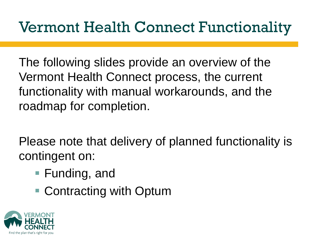### Vermont Health Connect Functionality

The following slides provide an overview of the Vermont Health Connect process, the current functionality with manual workarounds, and the roadmap for completion.

Please note that delivery of planned functionality is contingent on:

- Funding, and
- Contracting with Optum

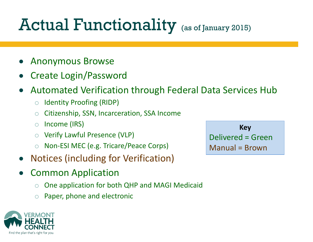# Actual Functionality (as of January 2015)

- Anonymous Browse
- Create Login/Password
- Automated Verification through Federal Data Services Hub
	- o Identity Proofing (RIDP)
	- o Citizenship, SSN, Incarceration, SSA Income
	- o Income (IRS)
	- Verify Lawful Presence (VLP)
	- o Non-ESI MEC (e.g. Tricare/Peace Corps)
- Notices (including for Verification)
- Common Application
	- o One application for both QHP and MAGI Medicaid
	- Paper, phone and electronic



**Key** Delivered = Green Manual = Brown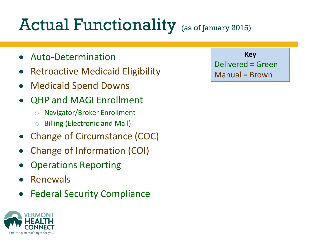# Actual Functionality (as of January 2015)

- Auto-Determination
- Retroactive Medicaid Eligibility
- Medicaid Spend Downs
- QHP and MAGI Enrollment
	- o Navigator/Broker Enrollment
	- o Billing (Electronic and Mail)
- Change of Circumstance (COC)
- Change of Information (COI)
- Operations Reporting
- Renewals
- Federal Security Compliance



**Key** Delivered = Green Manual = Brown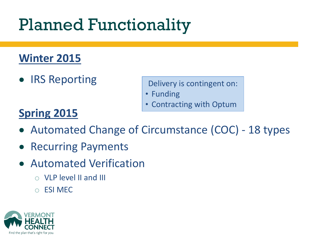### Planned Functionality

#### **Winter 2015**

IRS Reporting

Delivery is contingent on:

- Funding
- Contracting with Optum

### **Spring 2015**

- Automated Change of Circumstance (COC) 18 types
- Recurring Payments
- Automated Verification
	- o VLP level II and III
	- o ESI MEC